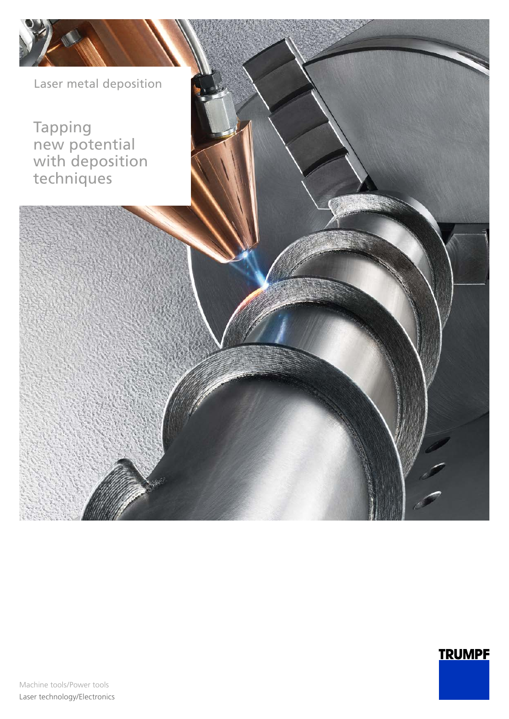Laser metal deposition

Tapping new potential with deposition techniques

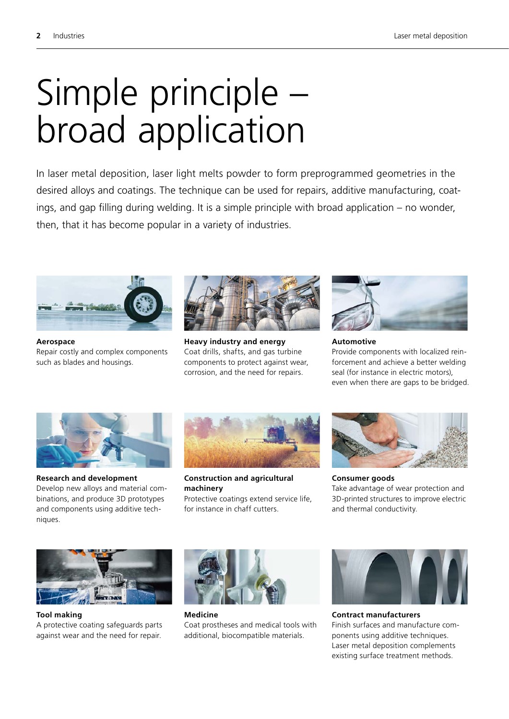## Simple principle – broad application

In laser metal deposition, laser light melts powder to form preprogrammed geometries in the desired alloys and coatings. The technique can be used for repairs, additive manufacturing, coatings, and gap filling during welding. It is a simple principle with broad application – no wonder, then, that it has become popular in a variety of industries.



**Aerospace** Repair costly and complex components such as blades and housings.



**Heavy industry and energy** Coat drills, shafts, and gas turbine components to protect against wear, corrosion, and the need for repairs.



**Automotive** Provide components with localized reinforcement and achieve a better welding seal (for instance in electric motors), even when there are gaps to be bridged.



**Research and development** Develop new alloys and material combinations, and produce 3D prototypes and components using additive techniques.



**Construction and agricultural machinery** Protective coatings extend service life, for instance in chaff cutters.



**Consumer goods** Take advantage of wear protection and 3D-printed structures to improve electric and thermal conductivity.



**Tool making** A protective coating safeguards parts against wear and the need for repair.



**Medicine** Coat prostheses and medical tools with additional, biocompatible materials.



**Contract manufacturers** Finish surfaces and manufacture components using additive techniques. Laser metal deposition complements existing surface treatment methods.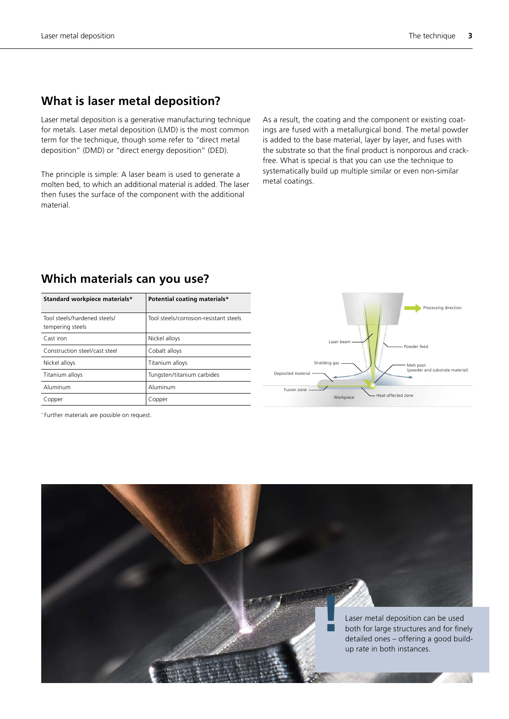#### **What is laser metal deposition?**

Laser metal deposition is a generative manufacturing technique for metals. Laser metal deposition (LMD) is the most common term for the technique, though some refer to "direct metal deposition" (DMD) or "direct energy deposition" (DED).

The principle is simple: A laser beam is used to generate a molten bed, to which an additional material is added. The laser then fuses the surface of the component with the additional material.

As a result, the coating and the component or existing coatings are fused with a metallurgical bond. The metal powder is added to the base material, layer by layer, and fuses with the substrate so that the final product is nonporous and crackfree. What is special is that you can use the technique to systematically build up multiple similar or even non-similar metal coatings.

| Standard workpiece materials*                    | Potential coating materials*           |
|--------------------------------------------------|----------------------------------------|
| Tool steels/hardened steels/<br>tempering steels | Tool steels/corrosion-resistant steels |
| Cast iron                                        | Nickel alloys                          |
| Construction steel/cast steel                    | Cobalt alloys                          |
| Nickel alloys                                    | Titanium alloys                        |
| Titanium alloys                                  | Tungsten/titanium carbides             |
| Aluminum                                         | Aluminum                               |
| Copper                                           | Copper                                 |

#### **Which materials can you use?**



\* Further materials are possible on request.

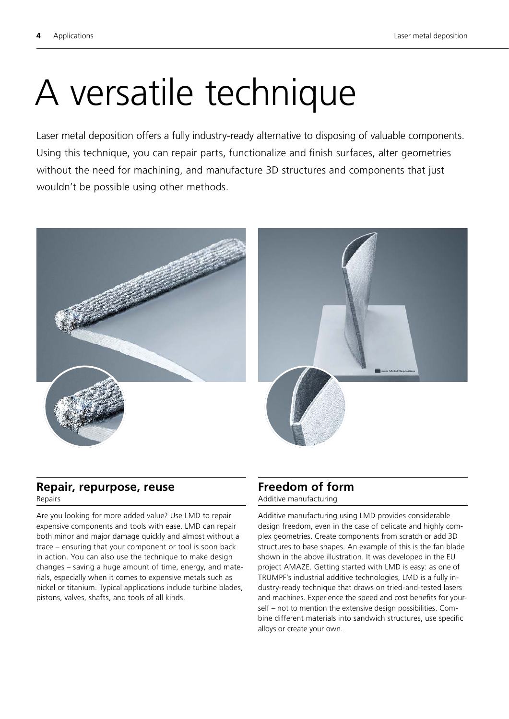## A versatile technique

Laser metal deposition offers a fully industry-ready alternative to disposing of valuable components. Using this technique, you can repair parts, functionalize and finish surfaces, alter geometries without the need for machining, and manufacture 3D structures and components that just wouldn't be possible using other methods.





#### **Repair, repurpose, reuse** Repairs

Are you looking for more added value? Use LMD to repair expensive components and tools with ease. LMD can repair both minor and major damage quickly and almost without a trace – ensuring that your component or tool is soon back in action. You can also use the technique to make design changes – saving a huge amount of time, energy, and materials, especially when it comes to expensive metals such as nickel or titanium. Typical applications include turbine blades, pistons, valves, shafts, and tools of all kinds.

#### **Freedom of form** Additive manufacturing

Additive manufacturing using LMD provides considerable design freedom, even in the case of delicate and highly complex geometries. Create components from scratch or add 3D structures to base shapes. An example of this is the fan blade shown in the above illustration. It was developed in the EU project AMAZE. Getting started with LMD is easy: as one of TRUMPF's industrial additive technologies, LMD is a fully industry-ready technique that draws on tried-and-tested lasers and machines. Experience the speed and cost benefits for yourself – not to mention the extensive design possibilities. Combine different materials into sandwich structures, use specific alloys or create your own.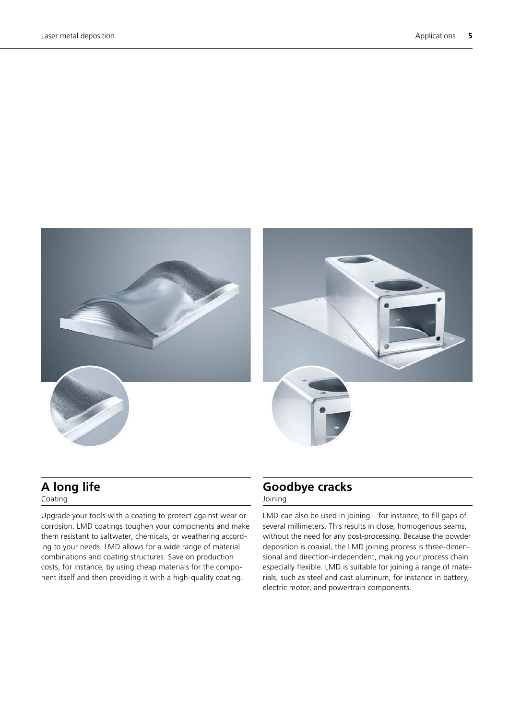

#### **A long life** Coating

Upgrade your tools with a coating to protect against wear or corrosion. LMD coatings toughen your components and make them resistant to saltwater, chemicals, or weathering according to your needs. LMD allows for a wide range of material combinations and coating structures. Save on production costs, for instance, by using cheap materials for the component itself and then providing it with a high-quality coating.

#### **Goodbye cracks** Joining

LMD can also be used in joining – for instance, to fill gaps of several millimeters. This results in close, homogenous seams, without the need for any post-processing. Because the powder deposition is coaxial, the LMD joining process is three-dimensional and direction-independent, making your process chain especially flexible. LMD is suitable for joining a range of materials, such as steel and cast aluminum, for instance in battery, electric motor, and powertrain components.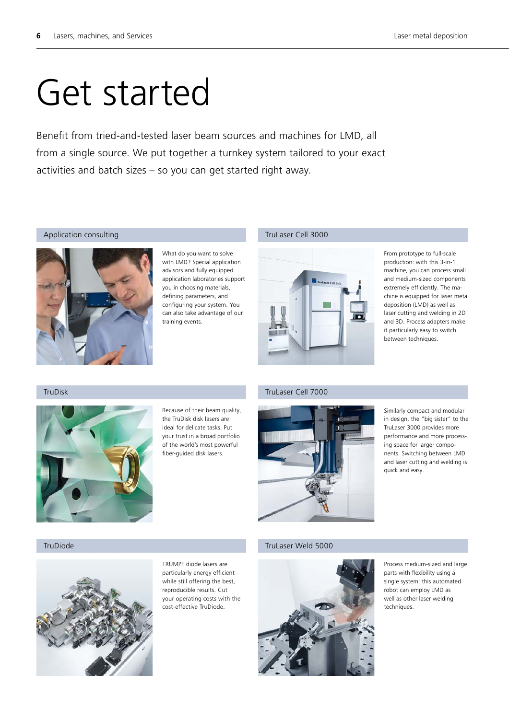## Get started

Benefit from tried-and-tested laser beam sources and machines for LMD, all from a single source. We put together a turnkey system tailored to your exact activities and batch sizes – so you can get started right away.

#### Application consulting



What do you want to solve with LMD? Special application advisors and fully equipped application laboratories support you in choosing materials, defining parameters, and configuring your system. You can also take advantage of our training events.

#### TruLaser Cell 3000



From prototype to full-scale production: with this 3-in-1 machine, you can process small and medium-sized components extremely efficiently. The machine is equipped for laser metal deposition (LMD) as well as laser cutting and welding in 2D and 3D. Process adapters make it particularly easy to switch between techniques.

#### TruDisk



Because of their beam quality, the TruDisk disk lasers are ideal for delicate tasks. Put your trust in a broad portfolio of the world's most powerful fiber-guided disk lasers.

#### TruLaser Cell 7000



Similarly compact and modular in design, the "big sister" to the TruLaser 3000 provides more performance and more processing space for larger components. Switching between LMD and laser cutting and welding is quick and easy.



TRUMPF diode lasers are particularly energy efficient – while still offering the best, reproducible results. Cut your operating costs with the cost-effective TruDiode.

#### TruDiode TruLaser Weld 5000



Process medium-sized and large parts with flexibility using a single system: this automated robot can employ LMD as well as other laser welding techniques.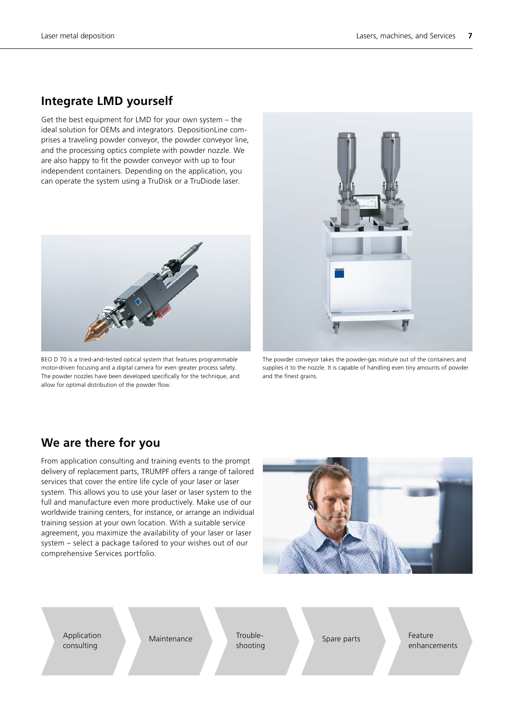#### **Integrate LMD yourself**

Get the best equipment for LMD for your own system – the ideal solution for OEMs and integrators. DepositionLine comprises a traveling powder conveyor, the powder conveyor line, and the processing optics complete with powder nozzle. We are also happy to fit the powder conveyor with up to four independent containers. Depending on the application, you can operate the system using a TruDisk or a TruDiode laser.



BEO D 70 is a tried-and-tested optical system that features programmable motor-driven focusing and a digital camera for even greater process safety. The powder nozzles have been developed specifically for the technique, and allow for optimal distribution of the powder flow.



The powder conveyor takes the powder-gas mixture out of the containers and supplies it to the nozzle. It is capable of handling even tiny amounts of powder and the finest grains.

#### **We are there for you**

From application consulting and training events to the prompt delivery of replacement parts, TRUMPF offers a range of tailored services that cover the entire life cycle of your laser or laser system. This allows you to use your laser or laser system to the full and manufacture even more productively. Make use of our worldwide training centers, for instance, or arrange an individual training session at your own location. With a suitable service agreement, you maximize the availability of your laser or laser system – select a package tailored to your wishes out of our comprehensive Services portfolio.